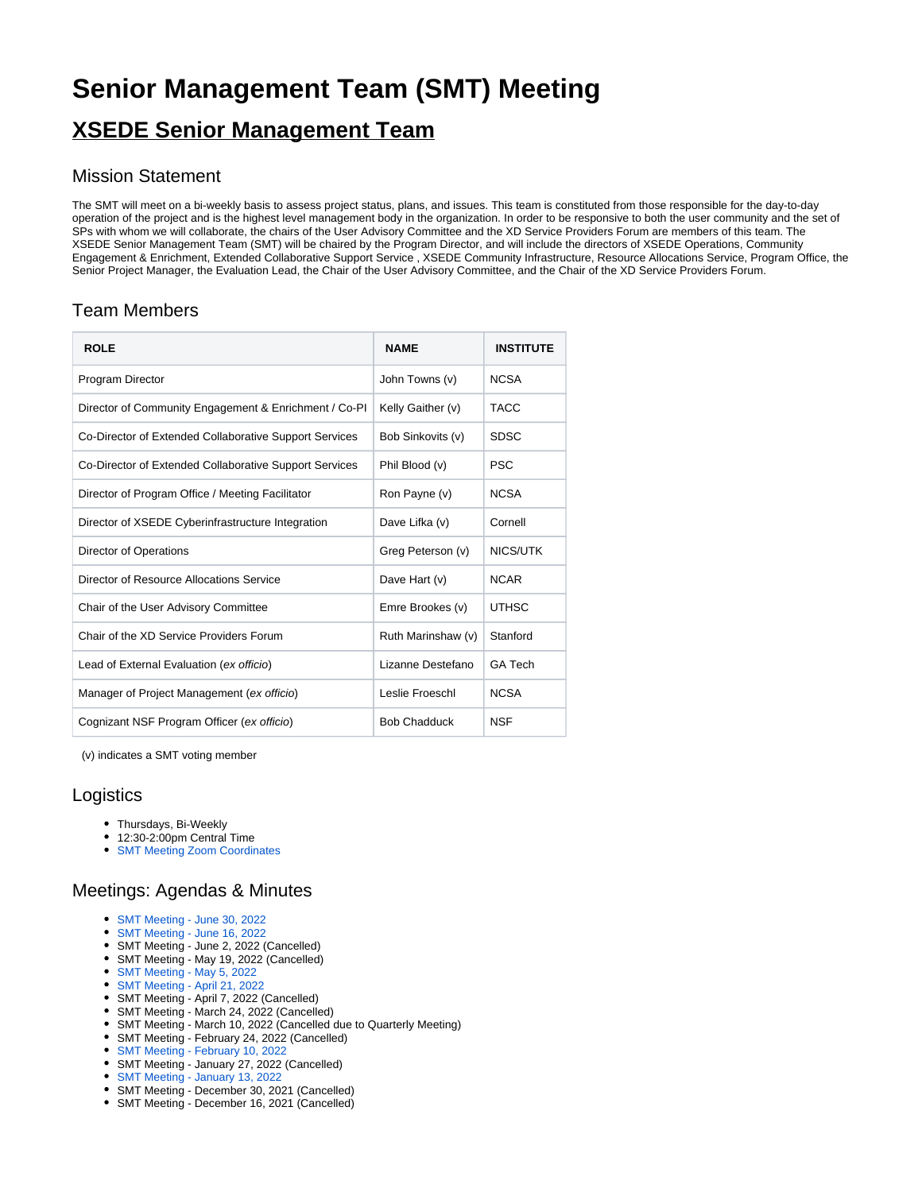# **Senior Management Team (SMT) Meeting**

# **XSEDE Senior Management Team**

#### Mission Statement

The SMT will meet on a bi-weekly basis to assess project status, plans, and issues. This team is constituted from those responsible for the day-to-day operation of the project and is the highest level management body in the organization. In order to be responsive to both the user community and the set of SPs with whom we will collaborate, the chairs of the User Advisory Committee and the XD Service Providers Forum are members of this team. The XSEDE Senior Management Team (SMT) will be chaired by the Program Director, and will include the directors of XSEDE Operations, Community Engagement & Enrichment, Extended Collaborative Support Service , XSEDE Community Infrastructure, Resource Allocations Service, Program Office, the Senior Project Manager, the Evaluation Lead, the Chair of the User Advisory Committee, and the Chair of the XD Service Providers Forum.

### Team Members

| <b>ROLE</b>                                            | <b>NAME</b>         | <b>INSTITUTE</b> |
|--------------------------------------------------------|---------------------|------------------|
| Program Director                                       | John Towns (v)      | <b>NCSA</b>      |
| Director of Community Engagement & Enrichment / Co-PI  | Kelly Gaither (v)   | <b>TACC</b>      |
| Co-Director of Extended Collaborative Support Services | Bob Sinkovits (v)   | <b>SDSC</b>      |
| Co-Director of Extended Collaborative Support Services | Phil Blood (v)      | <b>PSC</b>       |
| Director of Program Office / Meeting Facilitator       | Ron Payne (v)       | <b>NCSA</b>      |
| Director of XSEDE Cyberinfrastructure Integration      | Dave Lifka (v)      | Cornell          |
| Director of Operations                                 | Greg Peterson (v)   | NICS/UTK         |
| Director of Resource Allocations Service               | Dave Hart (v)       | <b>NCAR</b>      |
| Chair of the User Advisory Committee                   | Emre Brookes (v)    | <b>UTHSC</b>     |
| Chair of the XD Service Providers Forum                | Ruth Marinshaw (v)  | Stanford         |
| Lead of External Evaluation (ex officio)               | Lizanne Destefano   | <b>GA Tech</b>   |
| Manager of Project Management (ex officio)             | Leslie Froeschl     | <b>NCSA</b>      |
| Cognizant NSF Program Officer (ex officio)             | <b>Bob Chadduck</b> | <b>NSF</b>       |

(v) indicates a SMT voting member

#### **Logistics**

- Thursdays, Bi-Weekly
- 12:30-2:00pm Central Time
- [SMT Meeting Zoom Coordinates](https://confluence.xsede.org/pages/viewpage.action?pageId=32345002)

## Meetings: Agendas & Minutes

- [SMT Meeting June 30, 2022](https://confluence.xsede.org/display/XT/SMT+Meeting+-+June+30%2C+2022)
- [SMT Meeting June 16, 2022](https://confluence.xsede.org/display/XT/SMT+Meeting+-+June+16%2C+2022)
- SMT Meeting June 2, 2022 (Cancelled)
- SMT Meeting May 19, 2022 (Cancelled)
- [SMT Meeting May 5, 2022](https://confluence.xsede.org/display/XT/SMT+Meeting+-+May+5%2C+2022) [SMT Meeting - April 21, 2022](https://confluence.xsede.org/display/XT/SMT+Meeting+-+April+21%2C+2022)
- SMT Meeting April 7, 2022 (Cancelled)
- SMT Meeting March 24, 2022 (Cancelled)
- SMT Meeting March 10, 2022 (Cancelled due to Quarterly Meeting)
- SMT Meeting February 24, 2022 (Cancelled)
- [SMT Meeting February 10, 2022](https://confluence.xsede.org/display/XT/SMT+Meeting+-+February+10%2C+2022)
- SMT Meeting January 27, 2022 (Cancelled)
- [SMT Meeting January 13, 2022](https://confluence.xsede.org/display/XT/SMT+Meeting+-+January+13%2C+2022)
- SMT Meeting December 30, 2021 (Cancelled)
- SMT Meeting December 16, 2021 (Cancelled)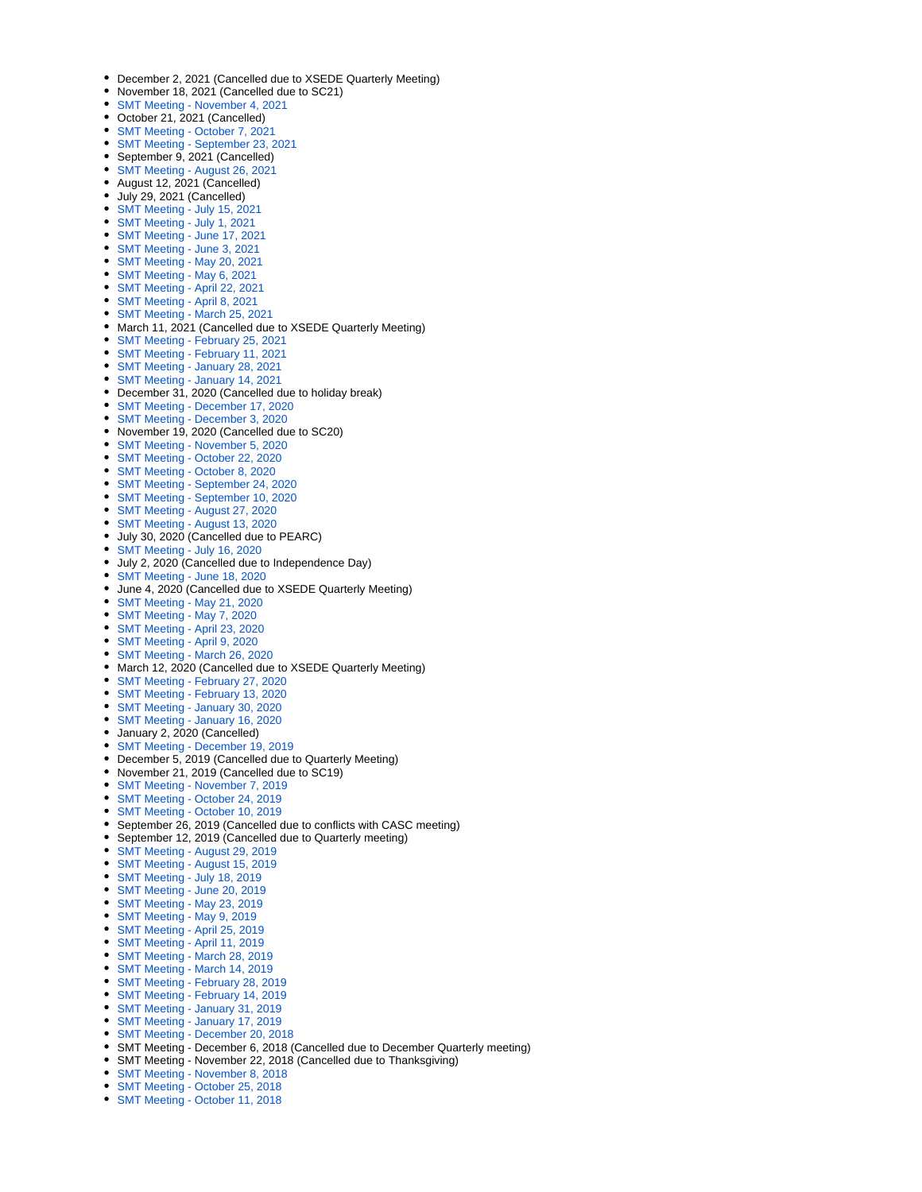- December 2, 2021 (Cancelled due to XSEDE Quarterly Meeting)
- November 18, 2021 (Cancelled due to SC21)
- [SMT Meeting November 4, 2021](https://confluence.xsede.org/display/XT/SMT+Meeting+-+November+4%2C+2021)
- October 21, 2021 (Cancelled)
- [SMT Meeting October 7, 2021](https://confluence.xsede.org/display/XT/SMT+Meeting+-+October+7%2C+2021)
- [SMT Meeting September 23, 2021](https://confluence.xsede.org/display/XT/SMT+Meeting+-+September+23%2C+2021)
- September 9, 2021 (Cancelled)
- [SMT Meeting August 26, 2021](https://confluence.xsede.org/display/XT/SMT+Meeting+-+August+26%2C+2021)
- August 12, 2021 (Cancelled)
- July 29, 2021 (Cancelled)
- [SMT Meeting July 15, 2021](https://confluence.xsede.org/display/XT/SMT+Meeting+-+July+15%2C+2021) [SMT Meeting - July 1, 2021](https://confluence.xsede.org/display/XT/SMT+Meeting+-+July+1%2C+2021)
- [SMT Meeting June 17, 2021](https://confluence.xsede.org/display/XT/SMT+Meeting+-+June+17%2C+2021)
- [SMT Meeting June 3, 2021](https://confluence.xsede.org/display/XT/SMT+Meeting+-+June+3%2C+2021)
- [SMT Meeting May 20, 2021](https://confluence.xsede.org/display/XT/SMT+Meeting+-+May+20%2C+2021)
- [SMT Meeting May 6, 2021](https://confluence.xsede.org/display/XT/SMT+Meeting+-+May+6%2C+2021)
- [SMT Meeting April 22, 2021](https://confluence.xsede.org/display/XT/SMT+Meeting+-+April+22%2C+2021)
- [SMT Meeting April 8, 2021](https://confluence.xsede.org/display/XT/SMT+Meeting+-+April+8%2C+2021)
- [SMT Meeting March 25, 2021](https://confluence.xsede.org/display/XT/SMT+Meeting+-+March+25%2C+2021)
- March 11, 2021 (Cancelled due to XSEDE Quarterly Meeting)
- [SMT Meeting February 25, 2021](https://confluence.xsede.org/display/XT/SMT+Meeting+-+February+25%2C+2021)
- [SMT Meeting February 11, 2021](https://confluence.xsede.org/display/XT/SMT+Meeting+-+February+11%2C+2021)
- [SMT Meeting January 28, 2021](https://confluence.xsede.org/display/XT/SMT+Meeting+-+January+28%2C+2021)
- [SMT Meeting January 14, 2021](https://confluence.xsede.org/display/XT/SMT+Meeting+-+January+14%2C+2021)
- December 31, 2020 (Cancelled due to holiday break)
- [SMT Meeting December 17, 2020](https://confluence.xsede.org/display/XT/SMT+Meeting+-+December+17%2C+2020)
- [SMT Meeting December 3, 2020](https://confluence.xsede.org/display/XT/SMT+Meeting+-+December+3%2C+2020)
- November 19, 2020 (Cancelled due to SC20)
- [SMT Meeting November 5, 2020](https://confluence.xsede.org/display/XT/SMT+Meeting+-+November+5%2C+2020)
- [SMT Meeting October 22, 2020](https://confluence.xsede.org/display/XT/SMT+Meeting+-+October+22%2C+2020)
- [SMT Meeting October 8, 2020](https://confluence.xsede.org/display/XT/SMT+Meeting+-+October+8%2C+2020)
- [SMT Meeting September 24, 2020](https://confluence.xsede.org/display/XT/SMT+Meeting+-+September+24%2C+2020)
- [SMT Meeting September 10, 2020](https://confluence.xsede.org/display/XT/SMT+Meeting+-+September+10%2C+2020)
- [SMT Meeting August 27, 2020](https://confluence.xsede.org/display/XT/SMT+Meeting+-+August+27%2C+2020)
- [SMT Meeting August 13, 2020](https://confluence.xsede.org/display/XT/SMT+Meeting+-+August+13%2C+2020)
- July 30, 2020 (Cancelled due to PEARC)
- [SMT Meeting July 16, 2020](https://confluence.xsede.org/display/XT/SMT+Meeting+-+July+16%2C+2020)
- July 2, 2020 (Cancelled due to Independence Day)
- [SMT Meeting June 18, 2020](https://confluence.xsede.org/display/XT/SMT+Meeting+-+June+18%2C+2020)
- June 4, 2020 (Cancelled due to XSEDE Quarterly Meeting)
- [SMT Meeting May 21, 2020](https://confluence.xsede.org/display/XT/SMT+Meeting+-+May+21%2C+2020)
- [SMT Meeting May 7, 2020](https://confluence.xsede.org/display/XT/SMT+Meeting+-+May+7%2C+2020)
- [SMT Meeting April 23, 2020](https://confluence.xsede.org/display/XT/SMT+Meeting+-+April+23%2C+2020)
- [SMT Meeting April 9, 2020](https://confluence.xsede.org/display/XT/SMT+Meeting+-+April+9%2C+2020)
- [SMT Meeting March 26, 2020](https://confluence.xsede.org/display/XT/SMT+Meeting+-+March+26%2C+2020)
- March 12, 2020 (Cancelled due to XSEDE Quarterly Meeting)
- [SMT Meeting February 27, 2020](https://confluence.xsede.org/display/XT/SMT+Meeting+-+February+27%2C+2020)
- [SMT Meeting February 13, 2020](https://confluence.xsede.org/display/XT/SMT+Meeting+-+February+13%2C+2020)
- [SMT Meeting January 30, 2020](https://confluence.xsede.org/display/XT/SMT+Meeting+-+January+30%2C+2020)
- [SMT Meeting January 16, 2020](https://confluence.xsede.org/display/XT/SMT+Meeting+-+January+16%2C+2020)
- January 2, 2020 (Cancelled)
- [SMT Meeting December 19, 2019](https://confluence.xsede.org/display/XT/SMT+Meeting+-+December+19%2C+2019)
- December 5, 2019 (Cancelled due to Quarterly Meeting)
- November 21, 2019 (Cancelled due to SC19)
- [SMT Meeting November 7, 2019](https://confluence.xsede.org/display/XT/SMT+Meeting+-+November+7%2C+2019)
- [SMT Meeting October 24, 2019](https://confluence.xsede.org/display/XT/SMT+Meeting+-+October+24%2C+2019)
- [SMT Meeting October 10, 2019](https://confluence.xsede.org/display/XT/SMT+Meeting+-+October+10%2C+2019)
- September 26, 2019 (Cancelled due to conflicts with CASC meeting)
- September 12, 2019 (Cancelled due to Quarterly meeting)
- [SMT Meeting August 29, 2019](https://confluence.xsede.org/display/XT/SMT+Meeting+-+August+29%2C+2019)
- [SMT Meeting August 15, 2019](https://confluence.xsede.org/display/XT/SMT+Meeting+-+August+15%2C+2019)
- [SMT Meeting July 18, 2019](https://confluence.xsede.org/display/XT/SMT+Meeting+-+July+18%2C+2019)
- [SMT Meeting June 20, 2019](https://confluence.xsede.org/display/XT/SMT+Meeting+-+June+20%2C+2019)
- [SMT Meeting May 23, 2019](https://confluence.xsede.org/display/XT/SMT+Meeting+-+May+23%2C+2019)
- [SMT Meeting May 9, 2019](https://confluence.xsede.org/display/XT/SMT+Meeting+-+May+9%2C+2019)
- [SMT Meeting April 25, 2019](https://confluence.xsede.org/display/XT/SMT+Meeting+-+April+25%2C+2019)
- [SMT Meeting April 11, 2019](https://confluence.xsede.org/display/XT/SMT+Meeting+-+April+11%2C+2019)
- [SMT Meeting March 28, 2019](https://confluence.xsede.org/display/XT/SMT+Meeting+-+March+28%2C+2019)
- [SMT Meeting March 14, 2019](https://confluence.xsede.org/display/XT/SMT+Meeting+-+March+14%2C+2019)
- [SMT Meeting February 28, 2019](https://confluence.xsede.org/display/XT/SMT+Meeting+-+February+28%2C+2019)
- [SMT Meeting February 14, 2019](https://confluence.xsede.org/display/XT/SMT+Meeting+-+February+14%2C+2019)
- [SMT Meeting January 31, 2019](https://confluence.xsede.org/display/XT/SMT+Meeting+-+January+31%2C+2019)
- [SMT Meeting January 17, 2019](https://confluence.xsede.org/display/XT/SMT+Meeting+-+January+17%2C+2019)
- [SMT Meeting December 20, 2018](https://confluence.xsede.org/display/XT/SMT+Meeting+-+December+20%2C+2018)
- SMT Meeting December 6, 2018 (Cancelled due to December Quarterly meeting)
- SMT Meeting November 22, 2018 (Cancelled due to Thanksgiving)
- 
- [SMT Meeting November 8, 2018](https://confluence.xsede.org/display/XT/SMT+Meeting+-+November+8%2C+2018)
- [SMT Meeting October 25, 2018](https://confluence.xsede.org/display/XT/SMT+Meeting+-+October+25%2C+2018)
- [SMT Meeting October 11, 2018](https://confluence.xsede.org/display/XT/SMT+Meeting+-+October+11%2C+2018)